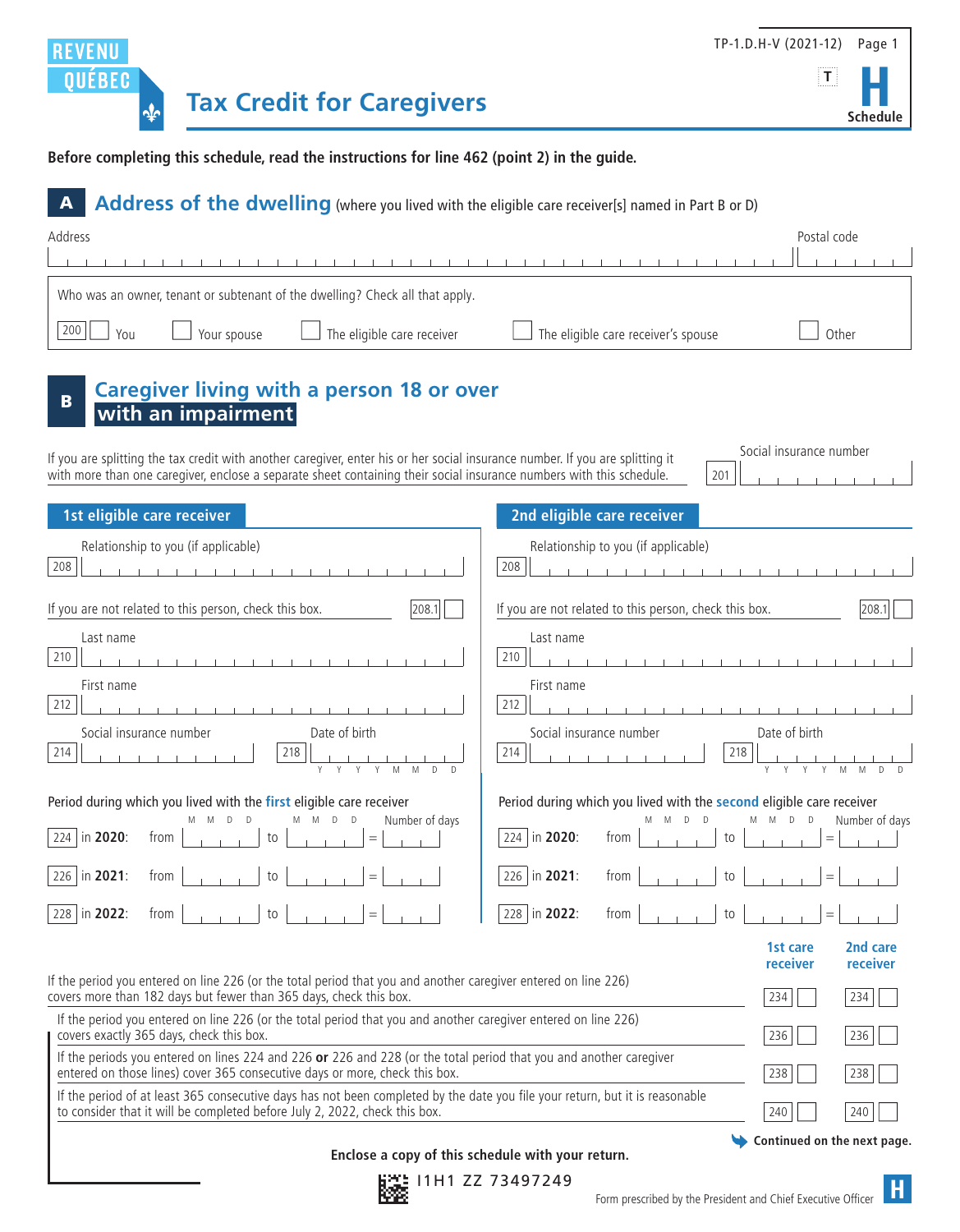



**Before completing this schedule, read the instructions for line 462 (point 2) in the guide.**

## A **Address of the dwelling** (where you lived with the eligible care receiver[s] named in Part B or D) Address Postal code the contract of the contract of the con- $\sim$ Who was an owner, tenant or subtenant of the dwelling? Check all that apply.  $\Box$  200  $\Box$  You  $\Box$  Your spouse  $\Box$  The eligible care receiver  $\Box$  The eligible care receiver's spouse  $\Box$  Other **Caregiver living with a person 18 or over with an impairment** Social insurance number If you are splitting the tax credit with another caregiver, enter his or her social insurance number. If you are splitting it with more than one caregiver, enclose a separate sheet containing their social insurance numbers with this schedule. 201 **1st eligible care receiver 2nd eligible care receiver** Relationship to you (if applicable) and the set of the set of the Relationship to you (if applicable) 208 208 **CONTRACTOR** If you are not related to this person, check this box.  $|208.1|$  If you are not related to this person, check this box.  $|208.1|$ Last name Last name Last name Last name Last name Last name Last name Last name Last name Last name Last name 210 210 First name First name **First name** 212 212 Social insurance number Date of birth 214 218 214 218 Y Y Y Y M M D D Y Y Y Y M M D D Period during which you lived with the **first** eligible care receiver **Period** Pe M M D D M M D D Number of days

| 226 in 2021: from $\begin{bmatrix} 1 & 1 & 1 \\ 1 & 1 & 1 \\ 1 & 1 & 1 \end{bmatrix}$ to $\begin{bmatrix} 1 & 1 & 1 \\ 1 & 1 & 1 \\ 1 & 1 & 1 \end{bmatrix}$ = $\begin{bmatrix} 226 & \text{in } 2021 \\ \text{in } 2021 \end{bmatrix}$ from $\begin{bmatrix} 1 & 1 & 1 \\ 1 & 1 & 1 \\ 1 & 1 & 1 \end{bmatrix}$ to $\begin{bmatrix} 1 & 1 & 1 \\ 1 & 1 & 1 \\ $ |  |
|------------------------------------------------------------------------------------------------------------------------------------------------------------------------------------------------------------------------------------------------------------------------------------------------------------------------------------------------------------------|--|
| 228 in 2022: from $\begin{vmatrix} 1 & 1 & 1 \\ 1 & 1 & 1 \end{vmatrix}$ to $\begin{vmatrix} 1 & 1 & 1 \\ 1 & 1 & 1 \end{vmatrix}$ = $\begin{vmatrix} 1 & 1 & 1 \\ 1 & 1 & 1 \end{vmatrix}$ = $\begin{vmatrix} 228 & 1 & 2022 \\ 1 & 202 & 1 & 1 \end{vmatrix}$ from $\begin{vmatrix} 1 & 1 & 1 \\ 1 & 1 & 1 \end{vmatrix}$ to $\begin{vmatrix} 1 & 1 & 1 \\ 1$  |  |

| 12                            |                                                                                                            |
|-------------------------------|------------------------------------------------------------------------------------------------------------|
| Social insurance number<br>14 | Date of birth<br>218<br>γ<br>M<br>M<br>Υ<br>D                                                              |
|                               | riod during which you lived with the second eligible care receiver<br>M<br>Μ<br>M D<br>D<br>Number of days |
| 24   in <b>2020</b> : from    |                                                                                                            |
|                               | $\overline{26}$ in 2021: from $\vert \ \vert$<br>to $  \cdot   \cdot   =   \cdot   \cdot  $                |
|                               | $\overline{28}$ in 2022: from $\vert$<br>$\mathsf{to}$                                                     |
|                               | 2nd care<br>1st care<br>receiver<br>receiver                                                               |
| er entered on line 226)       | 73/<br>231                                                                                                 |

If the period you entered on line 226 (or the total period that you and another caregive covers more than 182 days but fewer than 365 days, check this box. If the period you entered on line 226 (or the total period that you and another caregiver entered on line 226) covers exactly 365 days, check this box. 236 236 If the periods you entered on lines 224 and 226 **or** 226 and 228 (or the total period that you and another caregiver entered on those lines) cover 365 consecutive days or more, check this box.  $238$  238  $238$ If the period of at least 365 consecutive days has not been completed by the date you file your return, but it is reasonable

to consider that it will be completed before July 2, 2022, check this box.  $|240 \times |240 \times |240 \times |240 \times |240 \times |240 \times |240 \times |240 \times |240 \times |240 \times |240 \times |240 \times |240 \times |240 \times |240 \times |240 \times |240 \times |240 \times |240 \times |240 \times |240 \times |240 \times |240 \times |240 \times |$ 

**Continued on the next page.**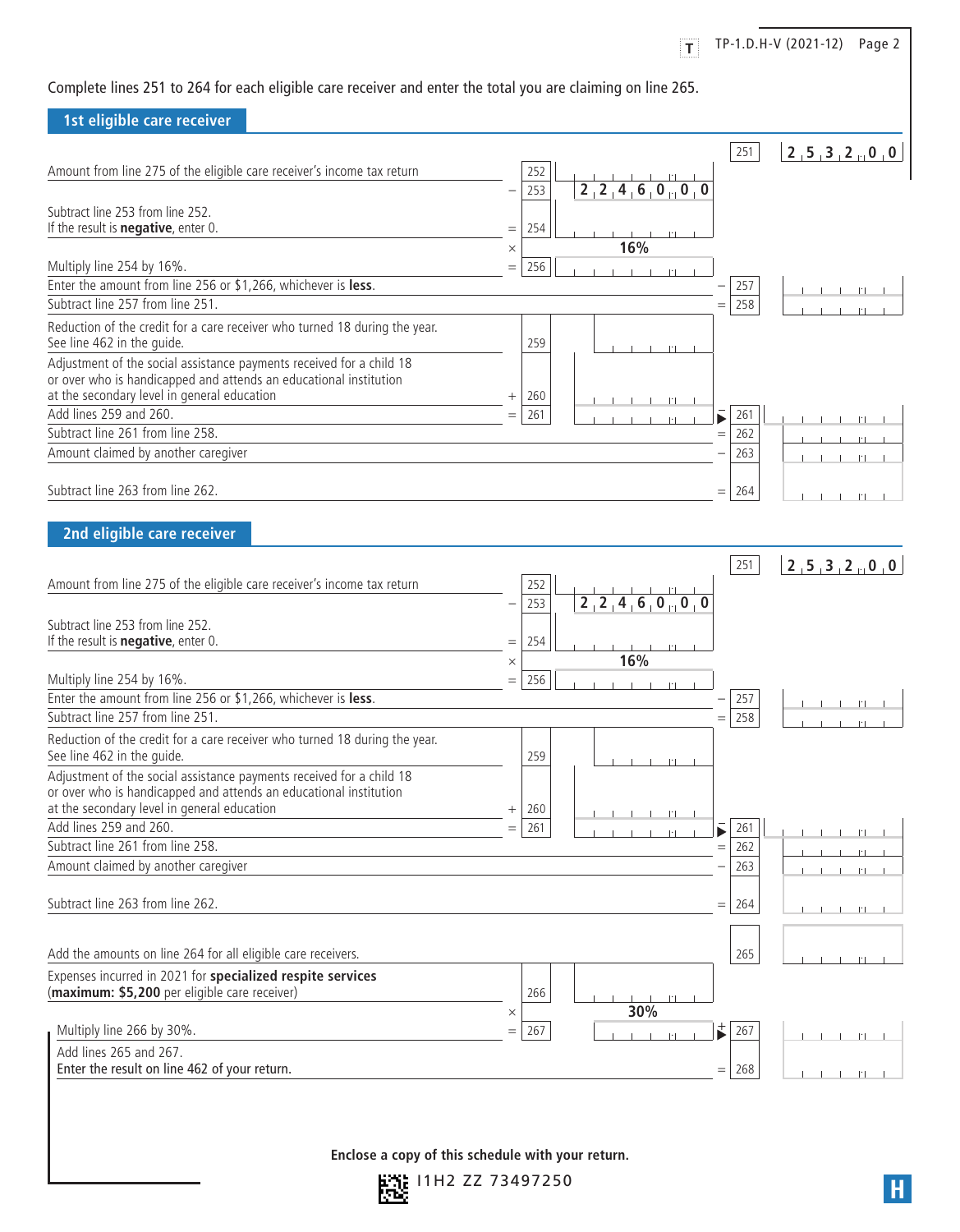Complete lines 251 to 264 for each eligible care receiver and enter the total you are claiming on line 265. **1st eligible care receiver**  $\begin{bmatrix} 251 \end{bmatrix}$   $\begin{bmatrix} 2 \end{bmatrix}$   $\begin{bmatrix} 5 \end{bmatrix}$   $\begin{bmatrix} 3 \end{bmatrix}$   $\begin{bmatrix} 2 \end{bmatrix}$   $\begin{bmatrix} 0 \end{bmatrix}$   $\begin{bmatrix} 0 \end{bmatrix}$ Amount from line 275 of the eligible care receiver's income tax return 252 253  $\begin{bmatrix} 2 & 2 & 4 & 6 & 0 & 0 & 0 \end{bmatrix}$ Subtract line 253 from line 252. If the result is **negative**, enter 0.  $=$  254  $\times$  **16%** Multiply line 254 by 16%.  $=$  256 Enter the amount from line 256 or \$1,266, whichever is **less**.  $\begin{array}{c} \hline \end{array}$  257 Subtract line 257 from line 251.  $=$  258 Reduction of the credit for a care receiver who turned 18 during the year. See line 462 in the quide. Adjustment of the social assistance payments received for a child 18 or over who is handicapped and attends an educational institution at the secondary level in general education  $+$  260  $\overline{\mathsf{Add}}$  lines 259 and 260. Subtract line 261 from line 258.  $= 262$ Amount claimed by another caregiver  $-\left(263\right)$ Subtract line 263 from line 262.  $=$  264 **2nd eligible care receiver**  $\boxed{251}$  **2**  $\boxed{2}$  **5**  $\boxed{3}$  **2**  $\boxed{0}$  **0** Amount from line 275 of the eligible care receiver's income tax return 252 253  $\begin{bmatrix} 2 & 2 & 4 & 6 & 0 & 0 & 0 \end{bmatrix}$ Subtract line 253 from line 252. If the result is **negative**, enter 0.  $=$  254  $\times$  **16%** Multiply line 254 by 16%.  $=$  256 Enter the amount from line 256 or \$1,266, whichever is **less**. Subtract line 257 from line 251.  $=$  258 Reduction of the credit for a care receiver who turned 18 during the year. See line 462 in the quide. Adjustment of the social assistance payments received for a child 18 or over who is handicapped and attends an educational institution at the secondary level in general education  $+ |260 \rangle$ Add lines 259 and 260.  $=$  261  $\frac{1}{2}$  261  $\frac{1}{2}$  .  $\frac{1}{2}$  261  $\frac{1}{2}$  261  $\frac{1}{2}$  261  $\frac{1}{2}$  261 Subtract line 261 from line 258.  $= 262$ Amount claimed by another caregiver  $-\left(263\right)$ Subtract line 263 from line 262. Add the amounts on line 264 for all eligible care receivers. 265 . 265 . 265 . 265 . 265 . 265 . 265 . 265 . 265 . 265 . 265 . 265 . 265 . 265 . 265 . 265 . 265 . 265 . 265 . 265 . 265 . 265 . 265 . 265 . 265 . 265 . 265 . Expenses incurred in 2021 for **specialized respite services** (**maximum: \$5,200** per eligible care receiver) 266 .  $\times$  **30%** Multiply line 266 by 30%. = 267 . 267 . Add lines 265 and 267. Enter the result on line 462 of your return.  $= 268$  .  $\frac{1}{268}$ **T** TP-1.D.H-V (2021-12) Page 2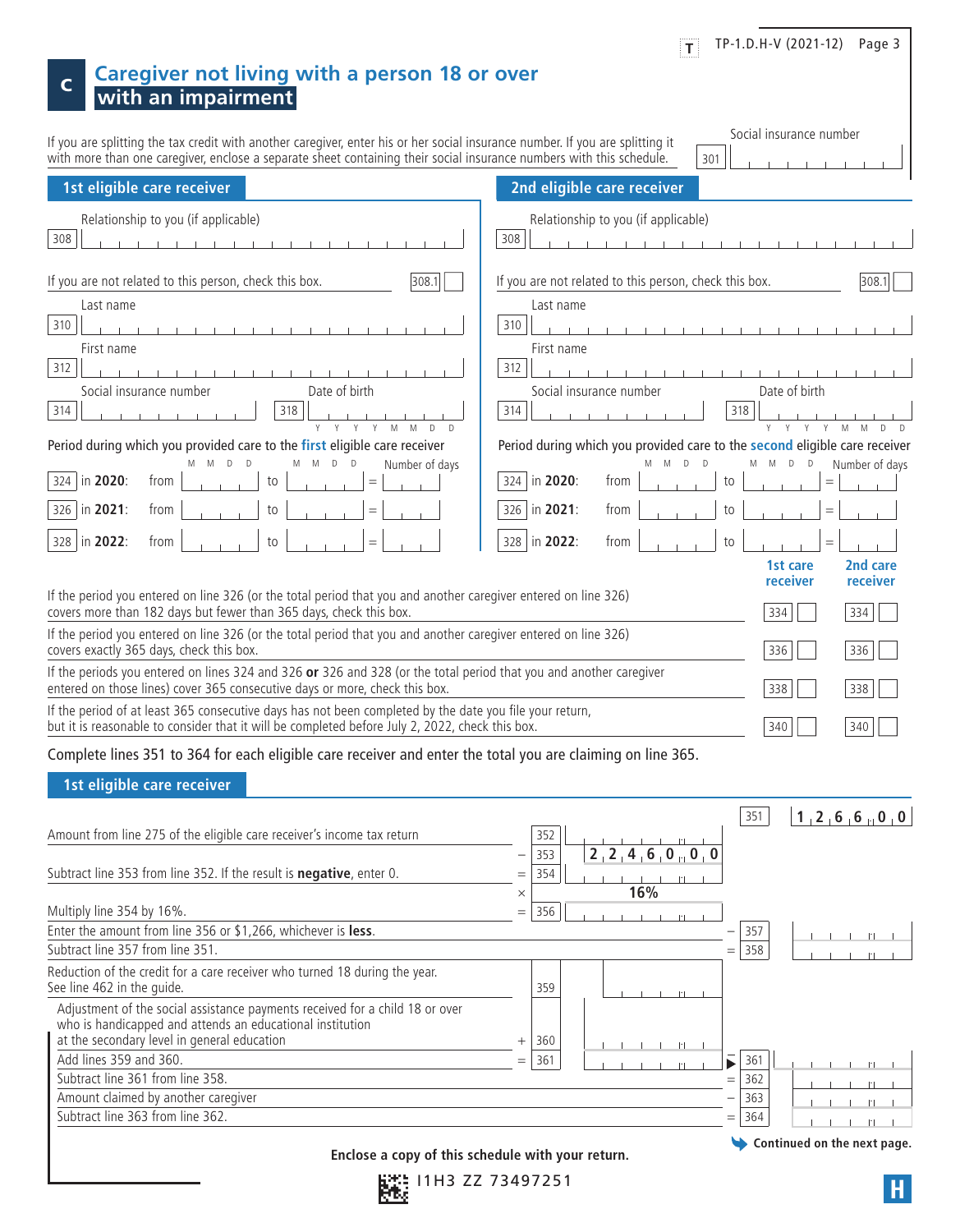|                                                                                                                                                                                                                                                       | TP-1.D.H-V (2021-12) Page 3<br> T                                                                                                                          |
|-------------------------------------------------------------------------------------------------------------------------------------------------------------------------------------------------------------------------------------------------------|------------------------------------------------------------------------------------------------------------------------------------------------------------|
| <b>Caregiver not living with a person 18 or over</b><br>C<br>with an impairment                                                                                                                                                                       |                                                                                                                                                            |
| If you are splitting the tax credit with another caregiver, enter his or her social insurance number. If you are splitting it<br>with more than one caregiver, enclose a separate sheet containing their social insurance numbers with this schedule. | Social insurance number<br>301                                                                                                                             |
| 1st eligible care receiver                                                                                                                                                                                                                            | 2nd eligible care receiver                                                                                                                                 |
| Relationship to you (if applicable)<br>308<br>The contract of the contract of the contract of the contract of the contract of the contract of the contract of                                                                                         | Relationship to you (if applicable)<br>308<br><b>The Committee of the Committee Committee</b>                                                              |
| If you are not related to this person, check this box.<br>308.1<br>Last name<br>310                                                                                                                                                                   | If you are not related to this person, check this box.<br>308.1<br>Last name<br>310                                                                        |
| First name<br>312                                                                                                                                                                                                                                     | First name<br>312                                                                                                                                          |
| Date of birth<br>Social insurance number<br>318<br>314                                                                                                                                                                                                | Date of birth<br>Social insurance number<br>314<br>318                                                                                                     |
| Period during which you provided care to the first eligible care receiver<br>D<br>$\mathbb D$<br>Number of days<br>M<br>D<br>in 2020:<br>324<br>from<br>to<br>$=$                                                                                     | Period during which you provided care to the second eligible care receiver<br>D<br>Μ<br>D<br>D<br>Number of days<br>M<br>324 in 2020:<br>from<br>to<br>$=$ |
| 326   in 2021:<br>from<br>to<br>328   in 2022:<br>from<br>to<br>$=$                                                                                                                                                                                   | 326   in 2021:<br>from<br>to<br>$=$<br>328<br>in 2022:<br>from<br>to<br>$=$<br>2nd care<br>1st care                                                        |
| If the period you entered on line 326 (or the total period that you and another caregiver entered on line 326)<br>covers more than 182 days but fewer than 365 days, check this box.                                                                  | receiver<br>receiver<br>334<br>334                                                                                                                         |
| If the period you entered on line 326 (or the total period that you and another caregiver entered on line 326)<br>covers exactly 365 days, check this box.                                                                                            | 336<br>336                                                                                                                                                 |
| If the periods you entered on lines 324 and 326 or 326 and 328 (or the total period that you and another caregiver<br>entered on those lines) cover 365 consecutive days or more, check this box.                                                     | 338<br>338                                                                                                                                                 |
| If the period of at least 365 consecutive days has not been completed by the date you file your return,<br>but it is reasonable to consider that it will be completed before July 2, 2022, check this box.                                            | 340<br>340                                                                                                                                                 |
| Complete lines 351 to 364 for each eligible care receiver and enter the total you are claiming on line 365.<br>1st eligible care receiver                                                                                                             |                                                                                                                                                            |
| Amount from line 275 of the eligible care receiver's income tax return                                                                                                                                                                                | 351<br>1, 2, 6, 6, 0, 0<br>352<br>2, 2, 4, 6, 0, 0, 0<br>353                                                                                               |
| Subtract line 353 from line 352. If the result is <b>negative</b> , enter 0.                                                                                                                                                                          | 354<br>$=$<br>16%<br>$\times$                                                                                                                              |
| Multiply line 354 by 16%.<br>Enter the amount from line 356 or \$1,266, whichever is less.                                                                                                                                                            | 356<br>$=$<br>357<br>$   \cdot   $                                                                                                                         |
| Subtract line 357 from line 351.<br>Reduction of the credit for a care receiver who turned 18 during the year.                                                                                                                                        | 358<br>$=$                                                                                                                                                 |
| See line 462 in the guide.<br>Adjustment of the social assistance payments received for a child 18 or over                                                                                                                                            | 359                                                                                                                                                        |
| who is handicapped and attends an educational institution<br>at the secondary level in general education                                                                                                                                              | 360<br>$^{+}$<br>$   \cdot   $                                                                                                                             |
| Add lines 359 and 360.<br>Subtract line 361 from line 358.                                                                                                                                                                                            | 361<br>361<br>$=$<br>$\left\vert \cdot\right\vert$<br>362<br>$=$                                                                                           |
| Amount claimed by another caregiver<br>Subtract line 363 from line 362.                                                                                                                                                                               | 363<br>$\left\vert \cdot\right\vert$<br>364<br>$=$<br>$\  \cdot \ $                                                                                        |

**Continued on the next page.**

**Enclose a copy of this schedule with your return.**

ĭ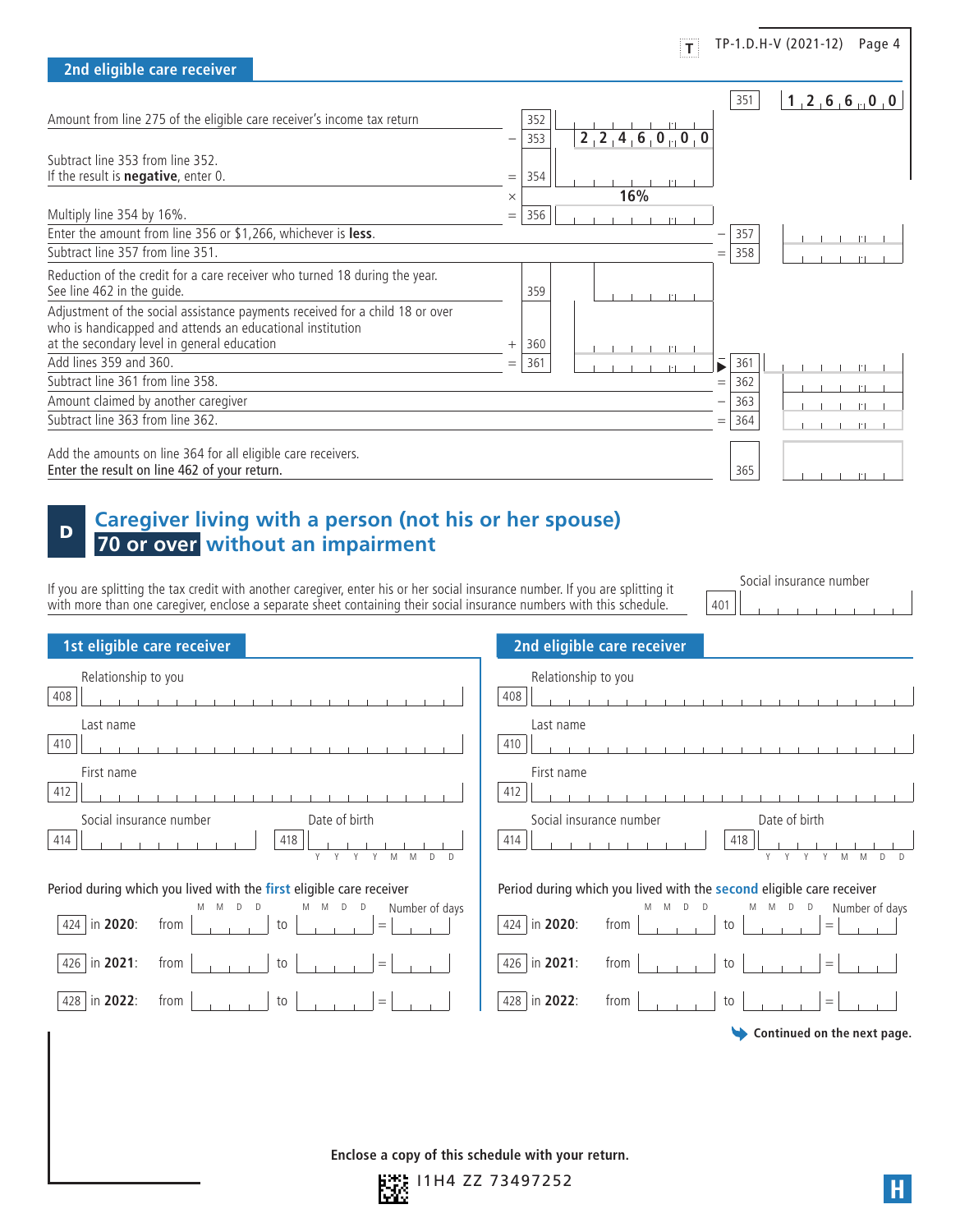|                                                                                                                                                                                          |          |     | $ \mathbf{T} $      |     |     | TP-1.D.H-V (2021-12)<br>Page 4 |  |
|------------------------------------------------------------------------------------------------------------------------------------------------------------------------------------------|----------|-----|---------------------|-----|-----|--------------------------------|--|
| 2nd eligible care receiver                                                                                                                                                               |          |     |                     |     |     |                                |  |
|                                                                                                                                                                                          |          |     |                     |     | 351 | 1, 2, 6, 6, 0, 0               |  |
| Amount from line 275 of the eligible care receiver's income tax return                                                                                                                   |          | 352 |                     |     |     |                                |  |
|                                                                                                                                                                                          |          | 353 | 2, 2, 4, 6, 0, 0, 0 |     |     |                                |  |
| Subtract line 353 from line 352.                                                                                                                                                         |          |     |                     |     |     |                                |  |
| If the result is <b>negative</b> , enter $0$ .                                                                                                                                           | $=$      | 354 |                     |     |     |                                |  |
|                                                                                                                                                                                          | $\times$ |     | 16%                 |     |     |                                |  |
| Multiply line 354 by 16%.                                                                                                                                                                | $=$      | 356 | $  \cdot  $         |     |     |                                |  |
| Enter the amount from line 356 or \$1,266, whichever is less.                                                                                                                            |          |     |                     |     | 357 |                                |  |
| Subtract line 357 from line 351.                                                                                                                                                         |          |     |                     | $=$ | 358 |                                |  |
| Reduction of the credit for a care receiver who turned 18 during the year.<br>See line 462 in the quide.                                                                                 |          | 359 |                     |     |     |                                |  |
| Adjustment of the social assistance payments received for a child 18 or over<br>who is handicapped and attends an educational institution<br>at the secondary level in general education | $^{+}$   | 360 | $   \cdot   $       |     |     |                                |  |
| Add lines 359 and 360.                                                                                                                                                                   | $=$      | 361 | $   \cdot   $       |     | 361 |                                |  |
| Subtract line 361 from line 358.                                                                                                                                                         |          |     |                     | $=$ | 362 |                                |  |
| Amount claimed by another caregiver                                                                                                                                                      |          |     |                     |     | 363 |                                |  |
| Subtract line 363 from line 362.                                                                                                                                                         |          |     |                     | $=$ | 364 |                                |  |
| Add the amounts on line 364 for all eligible care receivers.<br>Enter the result on line 462 of your return.                                                                             |          |     |                     |     | 365 | $1 - 1 - 1 - 11$               |  |

## <sup>D</sup> **Caregiver living with a person (not his or her spouse) 70 or over without an impairment**

If you are splitting the tax credit with another caregiver, enter his or her social insurance number. If you are splitting it with more than one caregiver, enclose a separate sheet containing their social insurance numbers with this schedule.

Social insurance number 401

| 1st eligible care receiver                                                                  | 2nd eligible care receiver                                                                                  |  |  |  |  |
|---------------------------------------------------------------------------------------------|-------------------------------------------------------------------------------------------------------------|--|--|--|--|
| Relationship to you<br>408<br>the contract of the contract of the con-<br>Last name         | Relationship to you<br>408<br>the contract of the contract of the con-<br>Last name                         |  |  |  |  |
| 410                                                                                         | 410                                                                                                         |  |  |  |  |
| First name<br>412                                                                           | First name<br>412                                                                                           |  |  |  |  |
| Social insurance number<br>Date of birth<br>418<br>414<br>M<br>M<br>$\mathsf{D}$<br>Y       | Social insurance number<br>Date of birth<br>418<br>414<br>M                                                 |  |  |  |  |
| Period during which you lived with the first eligible care receiver                         | Period during which you lived with the second eligible care receiver                                        |  |  |  |  |
| M M<br>D<br>Number of days<br>M<br>M<br>D<br>D<br>D<br>in 2020:<br>from<br>424<br>to<br>$=$ | M M D D<br>Number of days<br><b>M</b><br>$\Box$<br>$\mathsf{D}$<br>M<br>424   in 2020:<br>from<br>to<br>$=$ |  |  |  |  |
| in 2021:<br>from<br>426<br>to<br>$=$                                                        | 426   in 2021:<br>from<br>to<br>$=$                                                                         |  |  |  |  |
| in 2022:<br>from<br>428<br>to<br>$=$ $\,$                                                   | 428   in 2022:<br>from<br>to<br>$=$                                                                         |  |  |  |  |
|                                                                                             | Continued on the next page.<br>७                                                                            |  |  |  |  |